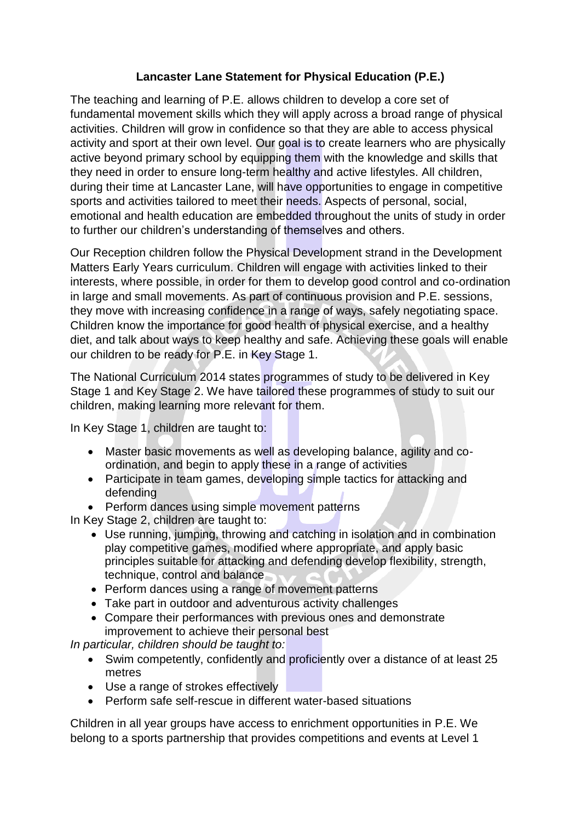## **Lancaster Lane Statement for Physical Education (P.E.)**

The teaching and learning of P.E. allows children to develop a core set of fundamental movement skills which they will apply across a broad range of physical activities. Children will grow in confidence so that they are able to access physical activity and sport at their own level. Our goal is to create learners who are physically active beyond primary school by equipping them with the knowledge and skills that they need in order to ensure long-term healthy and active lifestyles. All children, during their time at Lancaster Lane, will have opportunities to engage in competitive sports and activities tailored to meet their needs. Aspects of personal, social, emotional and health education are embedded throughout the units of study in order to further our children's understanding of themselves and others.

Our Reception children follow the Physical Development strand in the Development Matters Early Years curriculum. Children will engage with activities linked to their interests, where possible, in order for them to develop good control and co-ordination in large and small movements. As part of continuous provision and P.E. sessions, they move with increasing confidence in a range of ways, safely negotiating space. Children know the importance for good health of physical exercise, and a healthy diet, and talk about ways to keep healthy and safe. Achieving these goals will enable our children to be ready for P.E. in Key Stage 1.

The National Curriculum 2014 states programmes of study to be delivered in Key Stage 1 and Key Stage 2. We have tailored these programmes of study to suit our children, making learning more relevant for them.

In Key Stage 1, children are taught to:

- Master basic movements as well as developing balance, agility and coordination, and begin to apply these in a range of activities
- Participate in team games, developing simple tactics for attacking and defending
- Perform dances using simple movement patterns

In Key Stage 2, children are taught to:

- Use running, jumping, throwing and catching in isolation and in combination play competitive games, modified where appropriate, and apply basic principles suitable for attacking and defending develop flexibility, strength, technique, control and balance
- Perform dances using a range of movement patterns
- Take part in outdoor and adventurous activity challenges
- Compare their performances with previous ones and demonstrate improvement to achieve their personal best

*In particular, children should be taught to:* 

- Swim competently, confidently and proficiently over a distance of at least 25 metres
- Use a range of strokes effectively
- Perform safe self-rescue in different water-based situations

Children in all year groups have access to enrichment opportunities in P.E. We belong to a sports partnership that provides competitions and events at Level 1